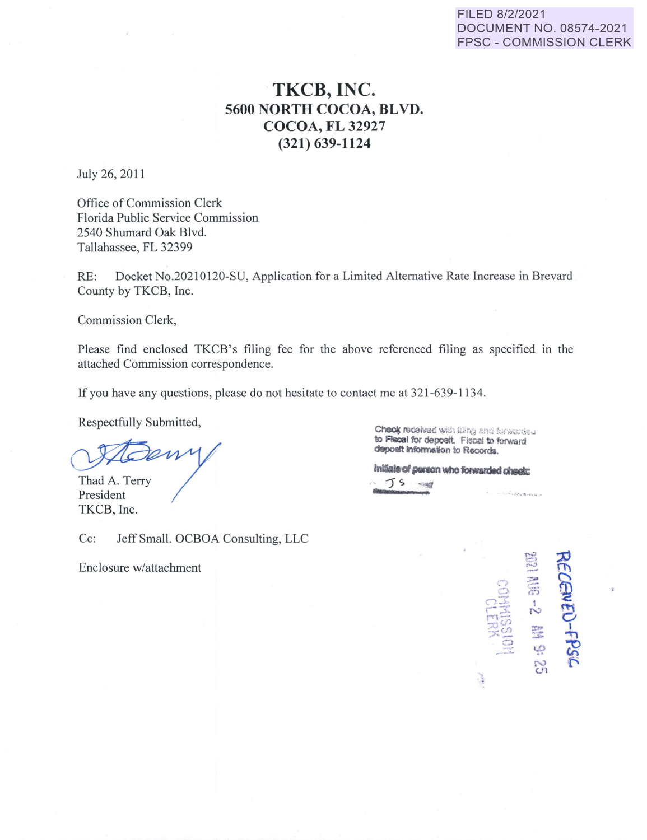## FILED 8/2/2021 DOCUMENT NO. 08574-2021 FPSC - COMMISSION CLERK

## **TKCB, INC. 5600 NORTH COCOA, BLVD. COCOA, FL 32927 (321) 639-1124**

July 26, 2011

Office of Commission Clerk Florida Public Service Commission 2540 Shumard Oak Blvd. Tallahassee, FL 32399

RE: Docket No.20210120-SU, Application for a Limited Alternative Rate Increase in Brevard County by TKCB, Inc.

Commission Clerk,

Please find enclosed TKCB's filing fee for the above referenced filing as specified in the attached Commission correspondence.

If you have any questions, please do not hesitate to contact me at 321-639-1134.

Respectfully Submitted,

Thad A. Terry President TKCB, Inc.

Cc: Jeff Small. OCBOA Consulting, LLC

Enclosure w/attachment

 $C$ heck recaived with filing and forwarded to Fiscal for deposit. Fiscal to forward **deposit lnformaton to Records.** 

**lnllalaafl\*IOnYIIObwardlddllGlc:**  .. JS *...,."::I* .. ~,.. ............. ..